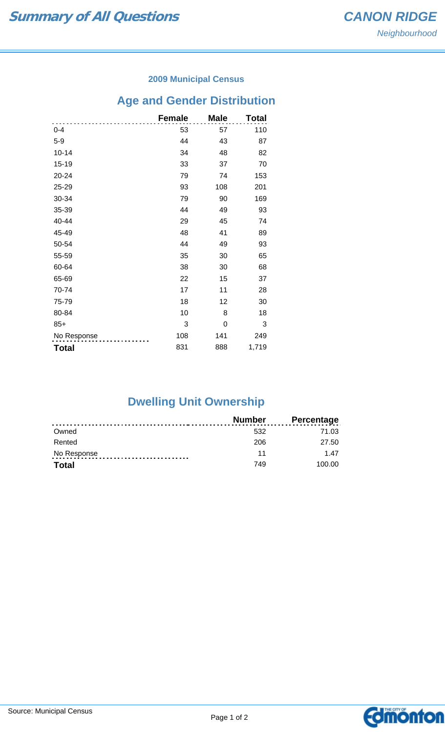### **2009 Municipal Census**

## **Age and Gender Distribution**

|              | <b>Female</b> | <b>Male</b> | Total |
|--------------|---------------|-------------|-------|
| $0 - 4$      | 53            | 57          | 110   |
| $5-9$        | 44            | 43          | 87    |
| $10 - 14$    | 34            | 48          | 82    |
| 15-19        | 33            | 37          | 70    |
| 20-24        | 79            | 74          | 153   |
| 25-29        | 93            | 108         | 201   |
| 30-34        | 79            | 90          | 169   |
| 35-39        | 44            | 49          | 93    |
| 40-44        | 29            | 45          | 74    |
| 45-49        | 48            | 41          | 89    |
| 50-54        | 44            | 49          | 93    |
| 55-59        | 35            | 30          | 65    |
| 60-64        | 38            | 30          | 68    |
| 65-69        | 22            | 15          | 37    |
| 70-74        | 17            | 11          | 28    |
| 75-79        | 18            | 12          | 30    |
| 80-84        | 10            | 8           | 18    |
| $85+$        | 3             | 0           | 3     |
| No Response  | 108           | 141         | 249   |
| <b>Total</b> | 831           | 888         | 1,719 |

# **Dwelling Unit Ownership**

|              | <b>Number</b> | <b>Percentage</b> |
|--------------|---------------|-------------------|
| Owned        | 532           | 71.03             |
| Rented       | 206           | 27.50             |
| No Response  | 11            | 147               |
| <b>Total</b> | 749           | 100.00            |